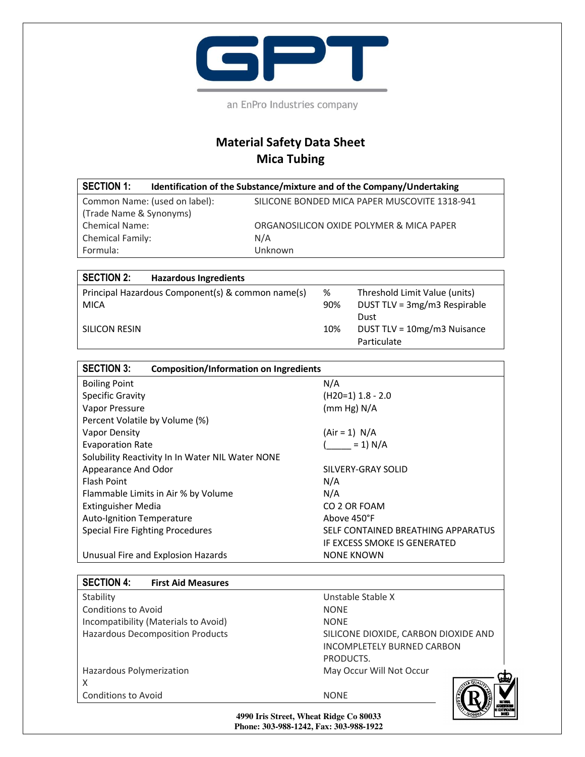

an EnPro Industries company

## **Material Safety Data Sheet Mica Tubing**

| <b>SECTION 1:</b>             | Identification of the Substance/mixture and of the Company/Undertaking |
|-------------------------------|------------------------------------------------------------------------|
| Common Name: (used on label): | SILICONE BONDED MICA PAPER MUSCOVITE 1318-941                          |
| (Trade Name & Synonyms)       |                                                                        |
| <b>Chemical Name:</b>         | ORGANOSILICON OXIDE POLYMER & MICA PAPER                               |
| <b>Chemical Family:</b>       | N/A                                                                    |
| Formula:                      | Unknown                                                                |

| <b>SECTION 2:</b> | <b>Hazardous Ingredients</b>                      |     |                               |
|-------------------|---------------------------------------------------|-----|-------------------------------|
|                   | Principal Hazardous Component(s) & common name(s) | %   | Threshold Limit Value (units) |
| <b>MICA</b>       |                                                   | 90% | DUST TLV = 3mg/m3 Respirable  |
|                   |                                                   |     | Dust                          |
| SILICON RESIN     |                                                   | 10% | DUST TLV = 10mg/m3 Nuisance   |
|                   |                                                   |     | Particulate                   |

| <b>SECTION 3:</b><br><b>Composition/Information on Ingredients</b> |                                    |
|--------------------------------------------------------------------|------------------------------------|
| <b>Boiling Point</b>                                               | N/A                                |
| <b>Specific Gravity</b>                                            | $(H20=1)$ 1.8 - 2.0                |
| Vapor Pressure                                                     | (mm Hg) N/A                        |
| Percent Volatile by Volume (%)                                     |                                    |
| Vapor Density                                                      | $(Air = 1) N/A$                    |
| <b>Evaporation Rate</b>                                            | $= 1) N/A$                         |
| Solubility Reactivity In In Water NIL Water NONE                   |                                    |
| Appearance And Odor                                                | SILVERY-GRAY SOLID                 |
| <b>Flash Point</b>                                                 | N/A                                |
| Flammable Limits in Air % by Volume                                | N/A                                |
| Extinguisher Media                                                 | CO 2 OR FOAM                       |
| Auto-Ignition Temperature                                          | Above 450°F                        |
| Special Fire Fighting Procedures                                   | SELF CONTAINED BREATHING APPARATUS |
|                                                                    | IF EXCESS SMOKE IS GENERATED       |
| Unusual Fire and Explosion Hazards                                 | <b>NONE KNOWN</b>                  |

| <b>SECTION 4:</b><br><b>First Aid Measures</b> |                                                                                        |  |
|------------------------------------------------|----------------------------------------------------------------------------------------|--|
| Stability                                      | Unstable Stable X                                                                      |  |
| Conditions to Avoid                            | <b>NONF</b>                                                                            |  |
| Incompatibility (Materials to Avoid)           | <b>NONF</b>                                                                            |  |
| <b>Hazardous Decomposition Products</b>        | SILICONE DIOXIDE, CARBON DIOXIDE AND<br><b>INCOMPLETELY BURNED CARBON</b><br>PRODUCTS. |  |
| Hazardous Polymerization                       | May Occur Will Not Occur                                                               |  |
| X                                              | Ш                                                                                      |  |
| <b>Conditions to Avoid</b>                     | <b>NONE</b><br>ACCREDIT<br>I certafi                                                   |  |
| 4990 Iris Street. Wheat Ridge Co 80033         |                                                                                        |  |

**4990 Iris Street, Wheat Ridge Co 80033 Phone: 303-988-1242, Fax: 303-988-1922**